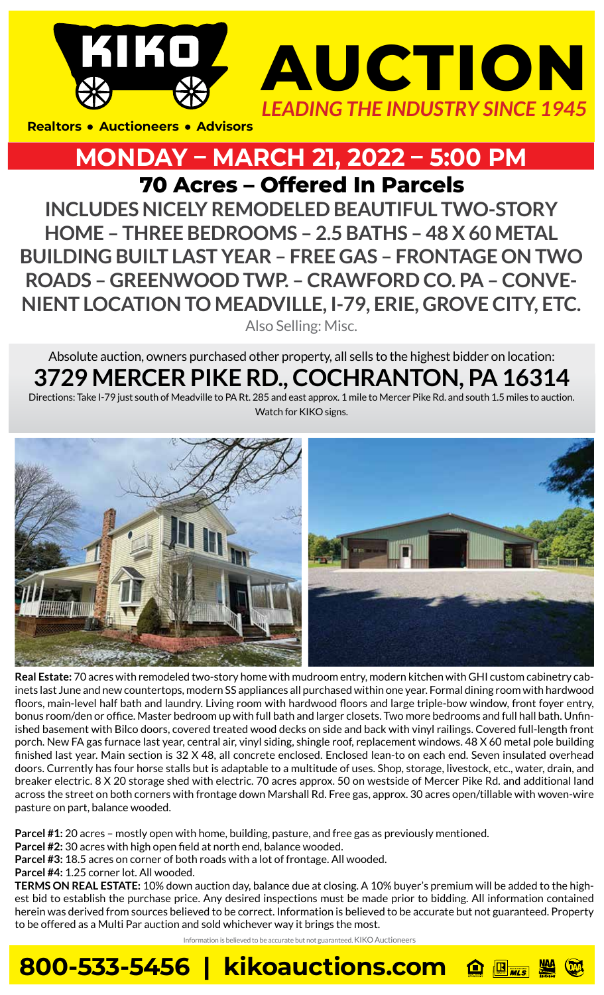

## **MONDAY – MARCH 21, 2022 – 5:00 PM**

**70 Acres – Offered In Parcels** 

Also Selling: Misc. **INCLUDES NICELY REMODELED BEAUTIFUL TWO-STORY HOME – THREE BEDROOMS – 2.5 BATHS – 48 X 60 METAL BUILDING BUILT LAST YEAR – FREE GAS – FRONTAGE ON TWO ROADS – GREENWOOD TWP. – CRAWFORD CO. PA – CONVE-NIENT LOCATION TO MEADVILLE, I-79, ERIE, GROVE CITY, ETC.**

Absolute auction, owners purchased other property, all sells to the highest bidder on location: **3729 MERCER PIKE RD., COCHRANTON, PA 16314**

Directions: Take I-79 just south of Meadville to PA Rt. 285 and east approx. 1 mile to Mercer Pike Rd. and south 1.5 miles to auction. Watch for KIKO signs.



**Real Estate:** 70 acres with remodeled two-story home with mudroom entry, modern kitchen with GHI custom cabinetry cabinets last June and new countertops, modern SS appliances all purchased within one year. Formal dining room with hardwood floors, main-level half bath and laundry. Living room with hardwood floors and large triple-bow window, front foyer entry, bonus room/den or office. Master bedroom up with full bath and larger closets. Two more bedrooms and full hall bath. Unfinished basement with Bilco doors, covered treated wood decks on side and back with vinyl railings. Covered full-length front porch. New FA gas furnace last year, central air, vinyl siding, shingle roof, replacement windows. 48 X 60 metal pole building finished last year. Main section is 32 X 48, all concrete enclosed. Enclosed lean-to on each end. Seven insulated overhead doors. Currently has four horse stalls but is adaptable to a multitude of uses. Shop, storage, livestock, etc., water, drain, and breaker electric. 8 X 20 storage shed with electric. 70 acres approx. 50 on westside of Mercer Pike Rd. and additional land across the street on both corners with frontage down Marshall Rd. Free gas, approx. 30 acres open/tillable with woven-wire pasture on part, balance wooded.

**Parcel #1:** 20 acres – mostly open with home, building, pasture, and free gas as previously mentioned.

**800-533-5456 | kikoauctions.com**

**Parcel #2:** 30 acres with high open field at north end, balance wooded.

**Parcel #3:** 18.5 acres on corner of both roads with a lot of frontage. All wooded.

**Parcel #4:** 1.25 corner lot. All wooded.

**TERMS ON REAL ESTATE:** 10% down auction day, balance due at closing. A 10% buyer's premium will be added to the highest bid to establish the purchase price. Any desired inspections must be made prior to bidding. All information contained herein was derived from sources believed to be correct. Information is believed to be accurate but not guaranteed. Property to be offered as a Multi Par auction and sold whichever way it brings the most.

Information is believed to be accurate but not guaranteed. KIKO Auctioneers

**R**<br>MLS